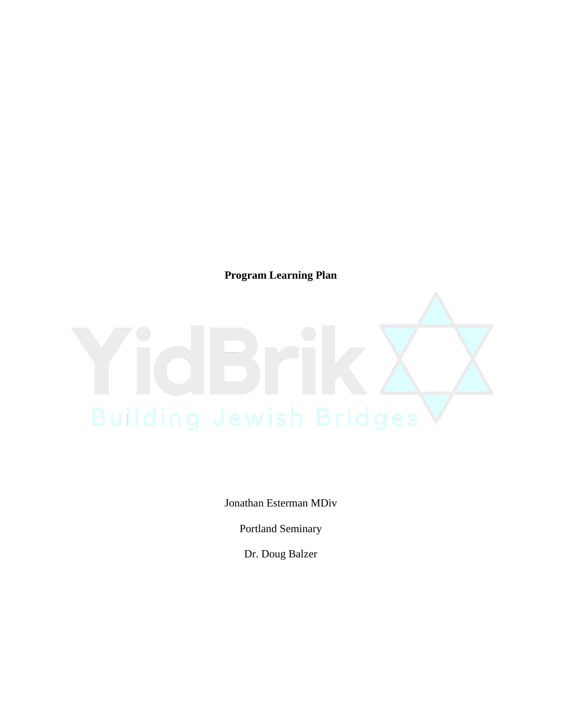**Program Learning Plan**

Jonathan Esterman MDiv

Portland Seminary

Dr. Doug Balzer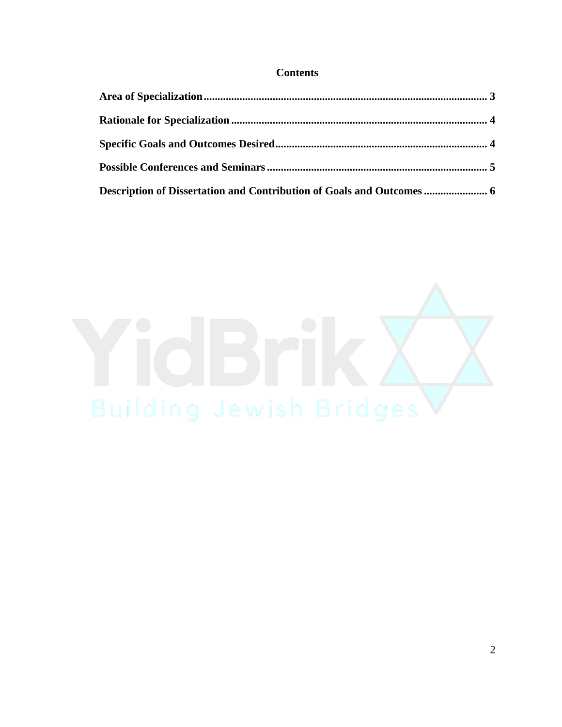# **Contents**

| Description of Dissertation and Contribution of Goals and Outcomes  6 |  |
|-----------------------------------------------------------------------|--|

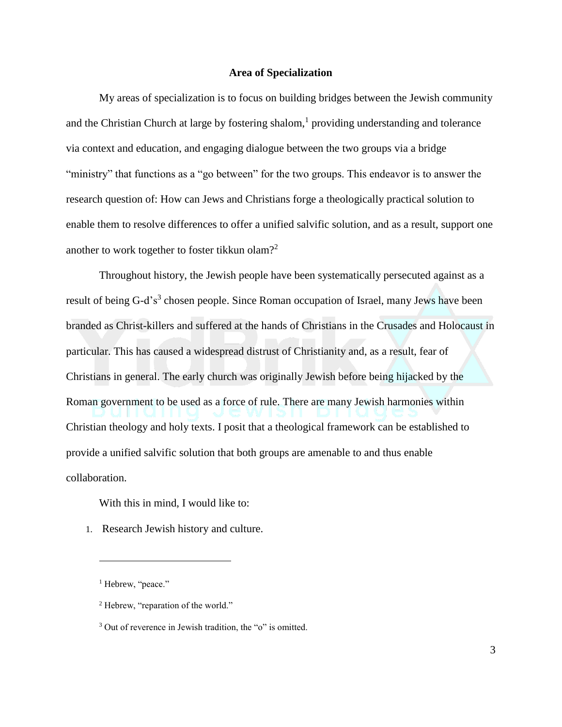### **Area of Specialization**

My areas of specialization is to focus on building bridges between the Jewish community and the Christian Church at large by fostering shalom, $<sup>1</sup>$  providing understanding and tolerance</sup> via context and education, and engaging dialogue between the two groups via a bridge "ministry" that functions as a "go between" for the two groups. This endeavor is to answer the research question of: How can Jews and Christians forge a theologically practical solution to enable them to resolve differences to offer a unified salvific solution, and as a result, support one another to work together to foster tikkun olam?<sup>2</sup>

Throughout history, the Jewish people have been systematically persecuted against as a result of being G-d's<sup>3</sup> chosen people. Since Roman occupation of Israel, many Jews have been branded as Christ-killers and suffered at the hands of Christians in the Crusades and Holocaust in particular. This has caused a widespread distrust of Christianity and, as a result, fear of Christians in general. The early church was originally Jewish before being hijacked by the Roman government to be used as a force of rule. There are many Jewish harmonies within Christian theology and holy texts. I posit that a theological framework can be established to provide a unified salvific solution that both groups are amenable to and thus enable collaboration.

With this in mind, I would like to:

1. Research Jewish history and culture.

 $\overline{a}$ 

<sup>&</sup>lt;sup>1</sup> Hebrew, "peace."

<sup>&</sup>lt;sup>2</sup> Hebrew, "reparation of the world."

<sup>&</sup>lt;sup>3</sup> Out of reverence in Jewish tradition, the "o" is omitted.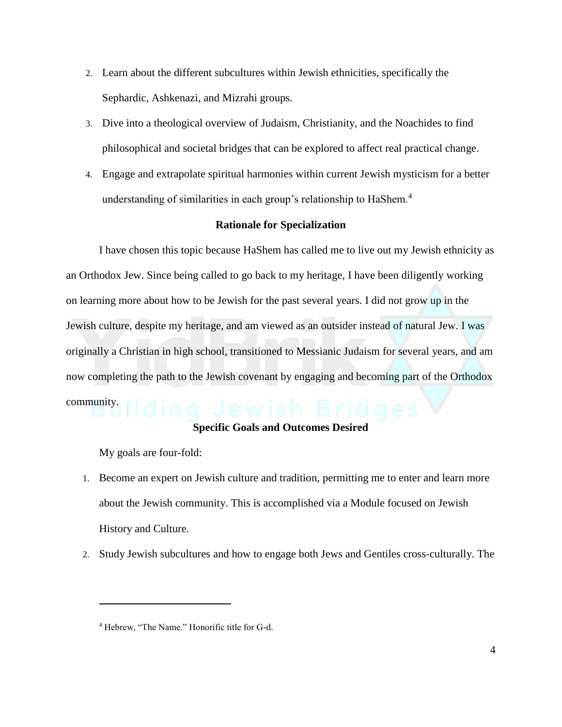- 2. Learn about the different subcultures within Jewish ethnicities, specifically the Sephardic, Ashkenazi, and Mizrahi groups.
- 3. Dive into a theological overview of Judaism, Christianity, and the Noachides to find philosophical and societal bridges that can be explored to affect real practical change.
- 4. Engage and extrapolate spiritual harmonies within current Jewish mysticism for a better understanding of similarities in each group's relationship to HaShem.<sup>4</sup>

# **Rationale for Specialization**

I have chosen this topic because HaShem has called me to live out my Jewish ethnicity as an Orthodox Jew. Since being called to go back to my heritage, I have been diligently working on learning more about how to be Jewish for the past several years. I did not grow up in the Jewish culture, despite my heritage, and am viewed as an outsider instead of natural Jew. I was originally a Christian in high school, transitioned to Messianic Judaism for several years, and am now completing the path to the Jewish covenant by engaging and becoming part of the Orthodox community.

### **Specific Goals and Outcomes Desired**

My goals are four-fold:

 $\overline{a}$ 

- 1. Become an expert on Jewish culture and tradition, permitting me to enter and learn more about the Jewish community. This is accomplished via a Module focused on Jewish History and Culture.
- 2. Study Jewish subcultures and how to engage both Jews and Gentiles cross-culturally. The

<sup>4</sup> Hebrew, "The Name." Honorific title for G-d.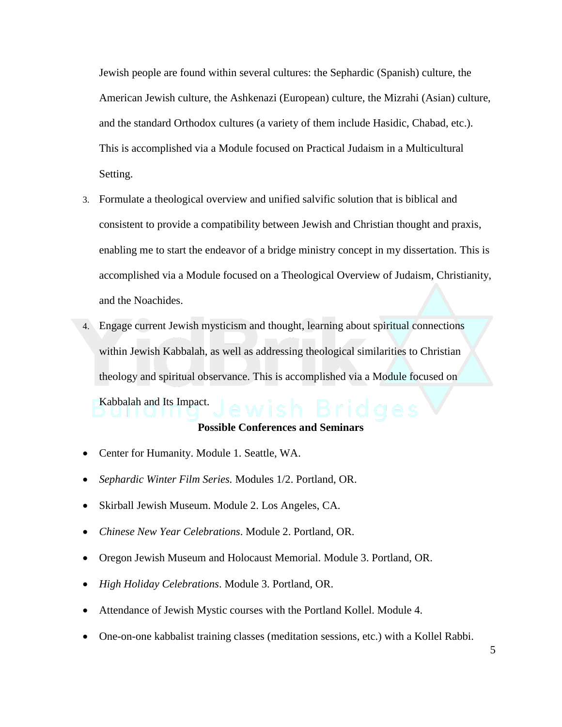Jewish people are found within several cultures: the Sephardic (Spanish) culture, the American Jewish culture, the Ashkenazi (European) culture, the Mizrahi (Asian) culture, and the standard Orthodox cultures (a variety of them include Hasidic, Chabad, etc.). This is accomplished via a Module focused on Practical Judaism in a Multicultural Setting.

- 3. Formulate a theological overview and unified salvific solution that is biblical and consistent to provide a compatibility between Jewish and Christian thought and praxis, enabling me to start the endeavor of a bridge ministry concept in my dissertation. This is accomplished via a Module focused on a Theological Overview of Judaism, Christianity, and the Noachides.
- 4. Engage current Jewish mysticism and thought, learning about spiritual connections within Jewish Kabbalah, as well as addressing theological similarities to Christian theology and spiritual observance. This is accomplished via a Module focused on

Kabbalah and Its Impact.

# **Possible Conferences and Seminars**

- Center for Humanity. Module 1. Seattle, WA.
- *Sephardic Winter Film Series.* Modules 1/2. Portland, OR.
- Skirball Jewish Museum. Module 2. Los Angeles, CA.
- *Chinese New Year Celebrations*. Module 2. Portland, OR.
- Oregon Jewish Museum and Holocaust Memorial. Module 3. Portland, OR.
- *High Holiday Celebrations*. Module 3. Portland, OR.
- Attendance of Jewish Mystic courses with the Portland Kollel. Module 4.
- One-on-one kabbalist training classes (meditation sessions, etc.) with a Kollel Rabbi.